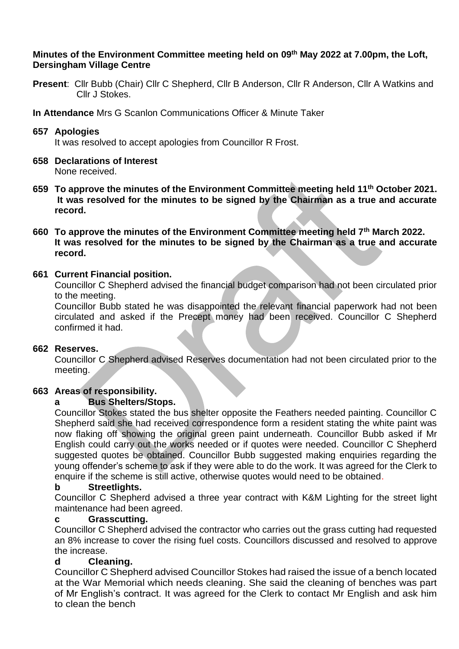### **Minutes of the Environment Committee meeting held on 09th May 2022 at 7.00pm, the Loft, Dersingham Village Centre**

- **Present**: Cllr Bubb (Chair) Cllr C Shepherd, Cllr B Anderson, Cllr R Anderson, Cllr A Watkins and Cllr J Stokes.
- **In Attendance** Mrs G Scanlon Communications Officer & Minute Taker

### **657 Apologies**

It was resolved to accept apologies from Councillor R Frost.

### **658 Declarations of Interest**

None received.

- **659 To approve the minutes of the Environment Committee meeting held 11th October 2021. It was resolved for the minutes to be signed by the Chairman as a true and accurate record.**
- **660 To approve the minutes of the Environment Committee meeting held 7th March 2022. It was resolved for the minutes to be signed by the Chairman as a true and accurate record.**

### **661 Current Financial position.**

Councillor C Shepherd advised the financial budget comparison had not been circulated prior to the meeting.

Councillor Bubb stated he was disappointed the relevant financial paperwork had not been circulated and asked if the Precept money had been received. Councillor C Shepherd confirmed it had.

# **662 Reserves.**

Councillor C Shepherd advised Reserves documentation had not been circulated prior to the meeting.

# **663 Areas of responsibility.**

### **a Bus Shelters/Stops.**

Councillor Stokes stated the bus shelter opposite the Feathers needed painting. Councillor C Shepherd said she had received correspondence form a resident stating the white paint was now flaking off showing the original green paint underneath. Councillor Bubb asked if Mr English could carry out the works needed or if quotes were needed. Councillor C Shepherd suggested quotes be obtained. Councillor Bubb suggested making enquiries regarding the young offender's scheme to ask if they were able to do the work. It was agreed for the Clerk to enquire if the scheme is still active, otherwise quotes would need to be obtained.

#### **b Streetlights.**

Councillor C Shepherd advised a three year contract with K&M Lighting for the street light maintenance had been agreed.

#### **c Grasscutting.**

Councillor C Shepherd advised the contractor who carries out the grass cutting had requested an 8% increase to cover the rising fuel costs. Councillors discussed and resolved to approve the increase.

#### **d Cleaning.**

Councillor C Shepherd advised Councillor Stokes had raised the issue of a bench located at the War Memorial which needs cleaning. She said the cleaning of benches was part of Mr English's contract. It was agreed for the Clerk to contact Mr English and ask him to clean the bench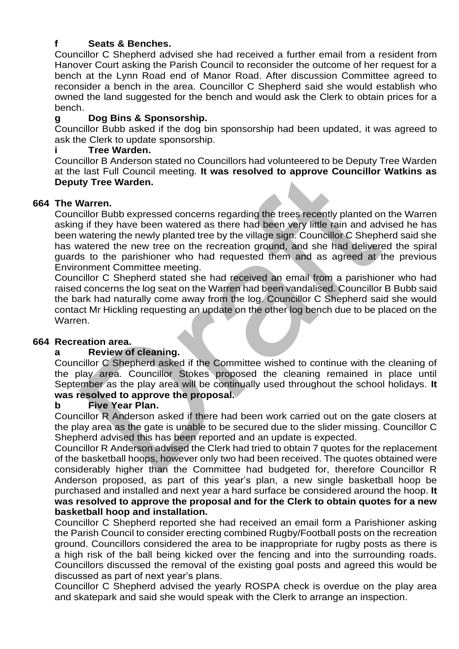## **f Seats & Benches.**

Councillor C Shepherd advised she had received a further email from a resident from Hanover Court asking the Parish Council to reconsider the outcome of her request for a bench at the Lynn Road end of Manor Road. After discussion Committee agreed to reconsider a bench in the area. Councillor C Shepherd said she would establish who owned the land suggested for the bench and would ask the Clerk to obtain prices for a bench.

# **g Dog Bins & Sponsorship.**

Councillor Bubb asked if the dog bin sponsorship had been updated, it was agreed to ask the Clerk to update sponsorship.

# **i Tree Warden.**

Councillor B Anderson stated no Councillors had volunteered to be Deputy Tree Warden at the last Full Council meeting. **It was resolved to approve Councillor Watkins as Deputy Tree Warden.**

#### **664 The Warren.**

Councillor Bubb expressed concerns regarding the trees recently planted on the Warren asking if they have been watered as there had been very little rain and advised he has been watering the newly planted tree by the village sign. Councillor C Shepherd said she has watered the new tree on the recreation ground, and she had delivered the spiral guards to the parishioner who had requested them and as agreed at the previous Environment Committee meeting.

Councillor C Shepherd stated she had received an email from a parishioner who had raised concerns the log seat on the Warren had been vandalised. Councillor B Bubb said the bark had naturally come away from the log. Councillor C Shepherd said she would contact Mr Hickling requesting an update on the other log bench due to be placed on the Warren.

#### **664 Recreation area.**

#### **a Review of cleaning.**

Councillor C Shepherd asked if the Committee wished to continue with the cleaning of the play area. Councillor Stokes proposed the cleaning remained in place until September as the play area will be continually used throughout the school holidays. **It was resolved to approve the proposal.**

#### **b Five Year Plan.**

Councillor R Anderson asked if there had been work carried out on the gate closers at the play area as the gate is unable to be secured due to the slider missing. Councillor C Shepherd advised this has been reported and an update is expected.

Councillor R Anderson advised the Clerk had tried to obtain 7 quotes for the replacement of the basketball hoops, however only two had been received. The quotes obtained were considerably higher than the Committee had budgeted for, therefore Councillor R Anderson proposed, as part of this year's plan, a new single basketball hoop be purchased and installed and next year a hard surface be considered around the hoop. **It was resolved to approve the proposal and for the Clerk to obtain quotes for a new basketball hoop and installation.** 

Councillor C Shepherd reported she had received an email form a Parishioner asking the Parish Council to consider erecting combined Rugby/Football posts on the recreation ground. Councillors considered the area to be inappropriate for rugby posts as there is a high risk of the ball being kicked over the fencing and into the surrounding roads. Councillors discussed the removal of the existing goal posts and agreed this would be discussed as part of next year's plans.

Councillor C Shepherd advised the yearly ROSPA check is overdue on the play area and skatepark and said she would speak with the Clerk to arrange an inspection.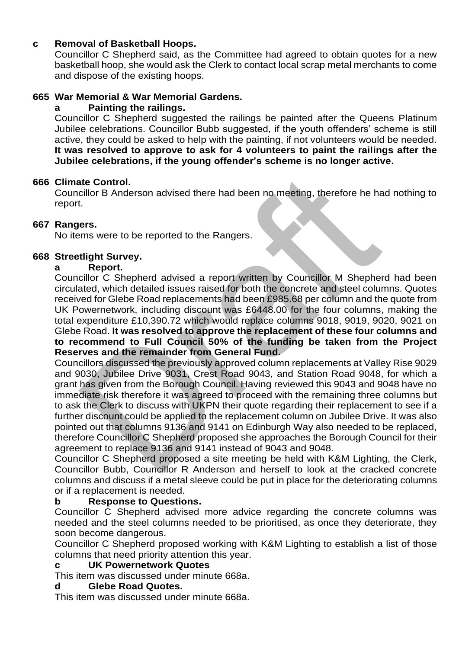# **c Removal of Basketball Hoops.**

Councillor C Shepherd said, as the Committee had agreed to obtain quotes for a new basketball hoop, she would ask the Clerk to contact local scrap metal merchants to come and dispose of the existing hoops.

## **665 War Memorial & War Memorial Gardens.**

#### **a Painting the railings.**

Councillor C Shepherd suggested the railings be painted after the Queens Platinum Jubilee celebrations. Councillor Bubb suggested, if the youth offenders' scheme is still active, they could be asked to help with the painting, if not volunteers would be needed. **It was resolved to approve to ask for 4 volunteers to paint the railings after the Jubilee celebrations, if the young offender's scheme is no longer active.** 

#### **666 Climate Control.**

Councillor B Anderson advised there had been no meeting, therefore he had nothing to report.

# **667 Rangers.**

No items were to be reported to the Rangers.

# **668 Streetlight Survey.**

#### **a Report.**

Councillor C Shepherd advised a report written by Councillor M Shepherd had been circulated, which detailed issues raised for both the concrete and steel columns. Quotes received for Glebe Road replacements had been £985.68 per column and the quote from UK Powernetwork, including discount was £6448.00 for the four columns, making the total expenditure £10,390.72 which would replace columns 9018, 9019, 9020, 9021 on Glebe Road. **It was resolved to approve the replacement of these four columns and to recommend to Full Council 50% of the funding be taken from the Project Reserves and the remainder from General Fund.**

Councillors discussed the previously approved column replacements at Valley Rise 9029 and 9030, Jubilee Drive 9031, Crest Road 9043, and Station Road 9048, for which a grant has given from the Borough Council. Having reviewed this 9043 and 9048 have no immediate risk therefore it was agreed to proceed with the remaining three columns but to ask the Clerk to discuss with UKPN their quote regarding their replacement to see if a further discount could be applied to the replacement column on Jubilee Drive. It was also pointed out that columns 9136 and 9141 on Edinburgh Way also needed to be replaced, therefore Councillor C Shepherd proposed she approaches the Borough Council for their agreement to replace 9136 and 9141 instead of 9043 and 9048.

Councillor C Shepherd proposed a site meeting be held with K&M Lighting, the Clerk, Councillor Bubb, Councillor R Anderson and herself to look at the cracked concrete columns and discuss if a metal sleeve could be put in place for the deteriorating columns or if a replacement is needed.

#### **b Response to Questions.**

Councillor C Shepherd advised more advice regarding the concrete columns was needed and the steel columns needed to be prioritised, as once they deteriorate, they soon become dangerous.

Councillor C Shepherd proposed working with K&M Lighting to establish a list of those columns that need priority attention this year.

#### **c UK Powernetwork Quotes**

This item was discussed under minute 668a.

#### **d Glebe Road Quotes.**

This item was discussed under minute 668a.